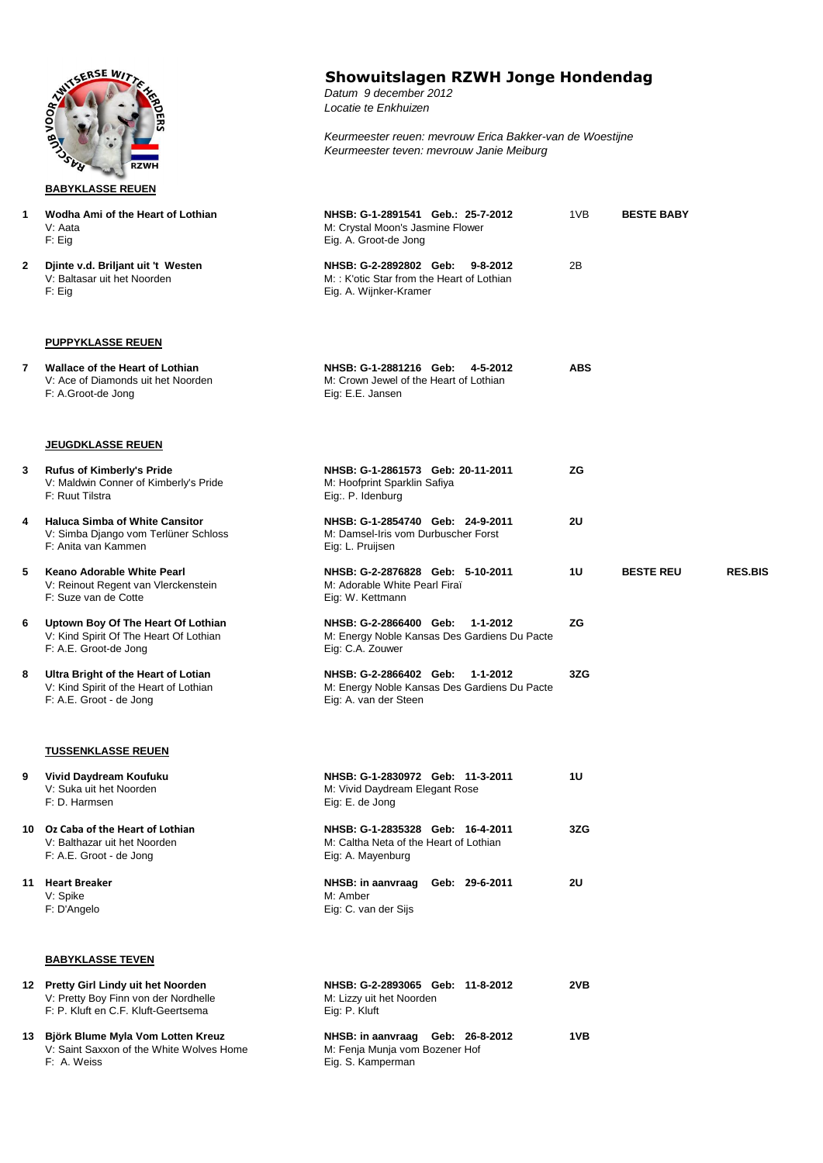

**BABYKLASSE REUEN**

## **Showuitslagen RZWH Jonge Hondendag**

*Datum 9 december 2012 Locatie te Enkhuizen*

*Keurmeester reuen: mevrouw Erica Bakker-van de Woestijne Keurmeester teven: mevrouw Janie Meiburg*

| 1  | Wodha Ami of the Heart of Lothian<br>V: Aata<br>$F:$ Eig                                                            | NHSB: G-1-2891541 Geb.: 25-7-2012<br>M: Crystal Moon's Jasmine Flower<br>Eig. A. Groot-de Jong                  | 1VB        | <b>BESTE BABY</b> |                |
|----|---------------------------------------------------------------------------------------------------------------------|-----------------------------------------------------------------------------------------------------------------|------------|-------------------|----------------|
| 2  | Djinte v.d. Briljant uit 't Westen<br>V: Baltasar uit het Noorden<br>$F:$ Eig                                       | NHSB: G-2-2892802 Geb:<br>$9 - 8 - 2012$<br>M:: K'otic Star from the Heart of Lothian<br>Eig. A. Wijnker-Kramer | 2B         |                   |                |
|    | <b>PUPPYKLASSE REUEN</b>                                                                                            |                                                                                                                 |            |                   |                |
| 7  | <b>Wallace of the Heart of Lothian</b><br>V: Ace of Diamonds uit het Noorden<br>F: A.Groot-de Jong                  | NHSB: G-1-2881216 Geb: 4-5-2012<br>M: Crown Jewel of the Heart of Lothian<br>Eig: E.E. Jansen                   | <b>ABS</b> |                   |                |
|    | <u>JEUGDKLASSE REUEN</u>                                                                                            |                                                                                                                 |            |                   |                |
| 3. | <b>Rufus of Kimberly's Pride</b><br>V: Maldwin Conner of Kimberly's Pride<br>F: Ruut Tilstra                        | NHSB: G-1-2861573 Geb: 20-11-2011<br>M: Hoofprint Sparklin Safiya<br>Eig:. P. Idenburg                          | ZG         |                   |                |
| 4  | <b>Haluca Simba of White Cansitor</b><br>V: Simba Django vom Terlüner Schloss<br>F: Anita van Kammen                | NHSB: G-1-2854740 Geb: 24-9-2011<br>M: Damsel-Iris vom Durbuscher Forst<br>Eig: L. Pruijsen                     | 2U         |                   |                |
| 5  | Keano Adorable White Pearl<br>V: Reinout Regent van Vlerckenstein<br>F: Suze van de Cotte                           | NHSB: G-2-2876828 Geb: 5-10-2011<br>M: Adorable White Pearl Firaï<br>Eig: W. Kettmann                           | 1U         | <b>BESTE REU</b>  | <b>RES.BIS</b> |
| 6  | Uptown Boy Of The Heart Of Lothian<br>V: Kind Spirit Of The Heart Of Lothian<br>F: A.E. Groot-de Jong               | NHSB: G-2-2866400 Geb:<br>1-1-2012<br>M: Energy Noble Kansas Des Gardiens Du Pacte<br>Eig: C.A. Zouwer          | ZG         |                   |                |
| 8  | Ultra Bright of the Heart of Lotian<br>V: Kind Spirit of the Heart of Lothian<br>F: A.E. Groot - de Jong            | NHSB: G-2-2866402 Geb:<br>1-1-2012<br>M: Energy Noble Kansas Des Gardiens Du Pacte<br>Eig: A. van der Steen     | 3ZG        |                   |                |
|    | <u>TUSSENKLASSE REUEN</u>                                                                                           |                                                                                                                 |            |                   |                |
| 9  | Vivid Daydream Koufuku<br>V: Suka uit het Noorden<br>F: D. Harmsen                                                  | NHSB: G-1-2830972 Geb: 11-3-2011<br>M: Vivid Daydream Elegant Rose<br>Eig: E. de Jong                           | 1U         |                   |                |
| 10 | Oz Caba of the Heart of Lothian<br>V: Balthazar uit het Noorden<br>F: A.E. Groot - de Jong                          | NHSB: G-1-2835328 Geb: 16-4-2011<br>M: Caltha Neta of the Heart of Lothian<br>Eig: A. Mayenburg                 | 3ZG        |                   |                |
|    | 11 Heart Breaker<br>V: Spike<br>F: D'Angelo                                                                         | NHSB: in aanvraag<br>Geb: 29-6-2011<br>M: Amber<br>Eig: C. van der Sijs                                         | <b>2U</b>  |                   |                |
|    | <b>BABYKLASSE TEVEN</b>                                                                                             |                                                                                                                 |            |                   |                |
|    | 12 Pretty Girl Lindy uit het Noorden<br>V: Pretty Boy Finn von der Nordhelle<br>F: P. Kluft en C.F. Kluft-Geertsema | NHSB: G-2-2893065 Geb: 11-8-2012<br>M: Lizzy uit het Noorden<br>Eig: P. Kluft                                   | 2VB        |                   |                |
|    | 13 Björk Blume Myla Vom Lotten Kreuz<br>V: Saint Saxxon of the White Wolves Home<br>F: A. Weiss                     | NHSB: in aanvraag Geb: 26-8-2012<br>M: Fenja Munja vom Bozener Hof<br>Eig. S. Kamperman                         | 1VB        |                   |                |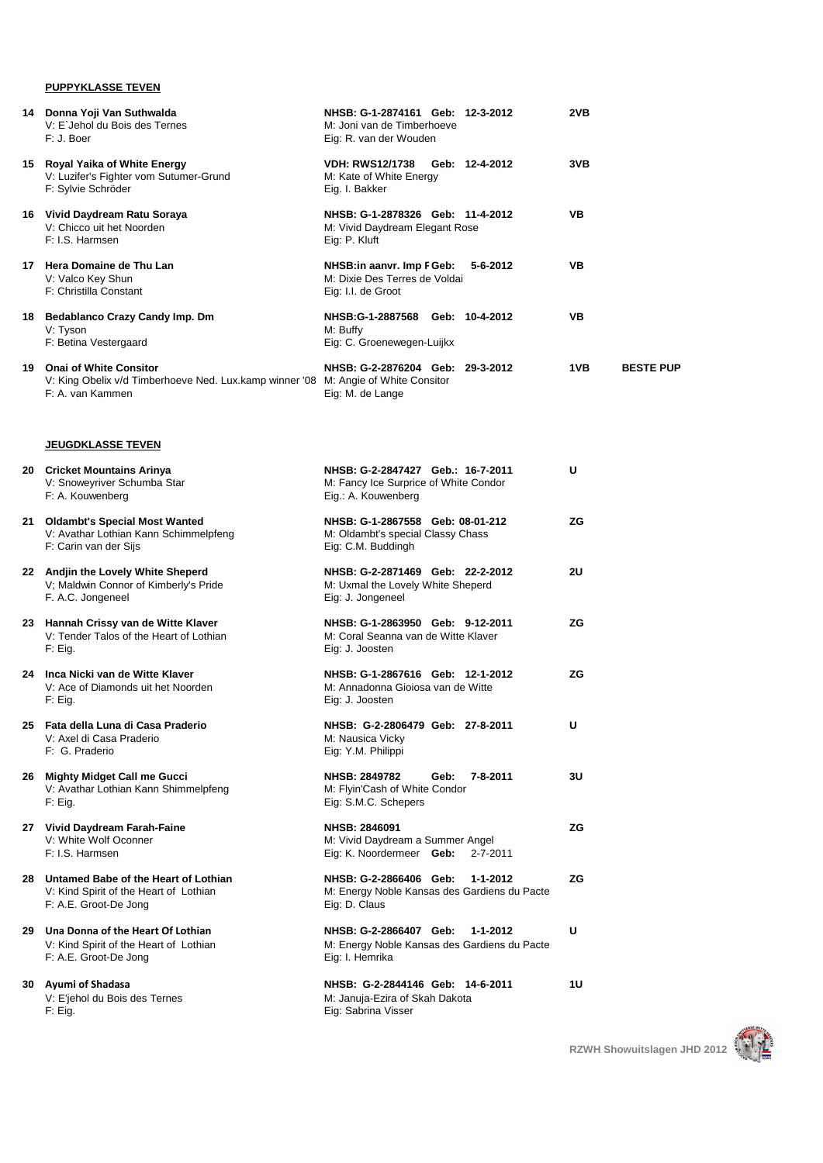## **PUPPYKLASSE TEVEN**

| 14 Donna Yoji Van Suthwalda<br>V: E`Jehol du Bois des Ternes<br>F: J. Boer                                                          | NHSB: G-1-2874161 Geb: 12-3-2012<br>M: Joni van de Timberhoeve<br>Eig: R. van der Wouden              | 2VB                     |
|-------------------------------------------------------------------------------------------------------------------------------------|-------------------------------------------------------------------------------------------------------|-------------------------|
| 15 Royal Yaika of White Energy<br>V: Luzifer's Fighter vom Sutumer-Grund<br>F: Sylvie Schröder                                      | <b>VDH: RWS12/1738</b><br>Geb: 12-4-2012<br>M: Kate of White Energy<br>Eig. I. Bakker                 | 3VB                     |
| 16 Vivid Daydream Ratu Soraya<br>V: Chicco uit het Noorden<br>F: I.S. Harmsen                                                       | NHSB: G-1-2878326 Geb: 11-4-2012<br>M: Vivid Daydream Elegant Rose<br>Eig: P. Kluft                   | VB                      |
| 17 Hera Domaine de Thu Lan<br>V: Valco Key Shun<br>F: Christilla Constant                                                           | NHSB:in aanvr. Imp F Geb:<br>5-6-2012<br>M: Dixie Des Terres de Voldai<br>Eig: I.I. de Groot          | VB                      |
| 18 Bedablanco Crazy Candy Imp. Dm<br>V: Tyson<br>F: Betina Vestergaard                                                              | NHSB:G-1-2887568 Geb: 10-4-2012<br>M: Buffy<br>Eig: C. Groenewegen-Luijkx                             | VB                      |
| 19 Onai of White Consitor<br>V: King Obelix v/d Timberhoeve Ned. Lux.kamp winner '08 M: Angie of White Consitor<br>F: A. van Kammen | NHSB: G-2-2876204 Geb: 29-3-2012<br>Eig: M. de Lange                                                  | 1VB<br><b>BESTE PUP</b> |
| <u>JEUGDKLASSE TEVEN</u>                                                                                                            |                                                                                                       |                         |
| 20 Cricket Mountains Arinya<br>V: Snoweyriver Schumba Star<br>F: A. Kouwenberg                                                      | NHSB: G-2-2847427 Geb.: 16-7-2011<br>M: Fancy Ice Surprice of White Condor<br>Eig.: A. Kouwenberg     | U                       |
| 21 Oldambt's Special Most Wanted<br>V: Avathar Lothian Kann Schimmelpfeng<br>F: Carin van der Sijs                                  | NHSB: G-1-2867558 Geb: 08-01-212<br>M: Oldambt's special Classy Chass<br>Eig: C.M. Buddingh           | ZG                      |
| 22 Andjin the Lovely White Sheperd<br>V; Maldwin Connor of Kimberly's Pride<br>F. A.C. Jongeneel                                    | NHSB: G-2-2871469 Geb: 22-2-2012<br>M: Uxmal the Lovely White Sheperd<br>Eig: J. Jongeneel            | 2U                      |
| 23 Hannah Crissy van de Witte Klaver<br>V: Tender Talos of the Heart of Lothian<br>$F:$ Eig.                                        | NHSB: G-1-2863950 Geb: 9-12-2011<br>M: Coral Seanna van de Witte Klaver<br>Eig: J. Joosten            | ZG                      |
| 24 Inca Nicki van de Witte Klaver<br>V: Ace of Diamonds uit het Noorden<br>$F:$ Eig.                                                | NHSB: G-1-2867616 Geb: 12-1-2012<br>M: Annadonna Gioiosa van de Witte<br>Eig: J. Joosten              | ZG                      |
| 25 Fata della Luna di Casa Praderio<br>V: Axel di Casa Praderio<br>F: G. Praderio                                                   | NHSB: G-2-2806479 Geb: 27-8-2011<br>M: Nausica Vicky<br>Eig: Y.M. Philippi                            |                         |
| 26 Mighty Midget Call me Gucci<br>V: Avathar Lothian Kann Shimmelpfeng<br>$F:$ Eig.                                                 | <b>NHSB: 2849782</b><br>Geb:<br>7-8-2011<br>M: Flyin'Cash of White Condor<br>Eig: S.M.C. Schepers     | 3U                      |
| 27 Vivid Daydream Farah-Faine<br>V: White Wolf Oconner<br>F: I.S. Harmsen                                                           | NHSB: 2846091<br>M: Vivid Daydream a Summer Angel<br>Eig: K. Noordermeer Geb:<br>2-7-2011             | ΖG                      |
| 28 Untamed Babe of the Heart of Lothian<br>V: Kind Spirit of the Heart of Lothian<br>F: A.E. Groot-De Jong                          | NHSB: G-2-2866406 Geb:<br>1-1-2012<br>M: Energy Noble Kansas des Gardiens du Pacte<br>Eig: D. Claus   | ZG                      |
| 29 Una Donna of the Heart Of Lothian<br>V: Kind Spirit of the Heart of Lothian<br>F: A.E. Groot-De Jong                             | NHSB: G-2-2866407 Geb:<br>1-1-2012<br>M: Energy Noble Kansas des Gardiens du Pacte<br>Eig: I. Hemrika | U                       |
| 30 Ayumi of Shadasa<br>V: E'jehol du Bois des Ternes<br>F: Eig.                                                                     | NHSB: G-2-2844146 Geb: 14-6-2011<br>M: Januja-Ezira of Skah Dakota<br>Eig: Sabrina Visser             | 1U                      |



**RZWH Showuitslagen JHD 2012**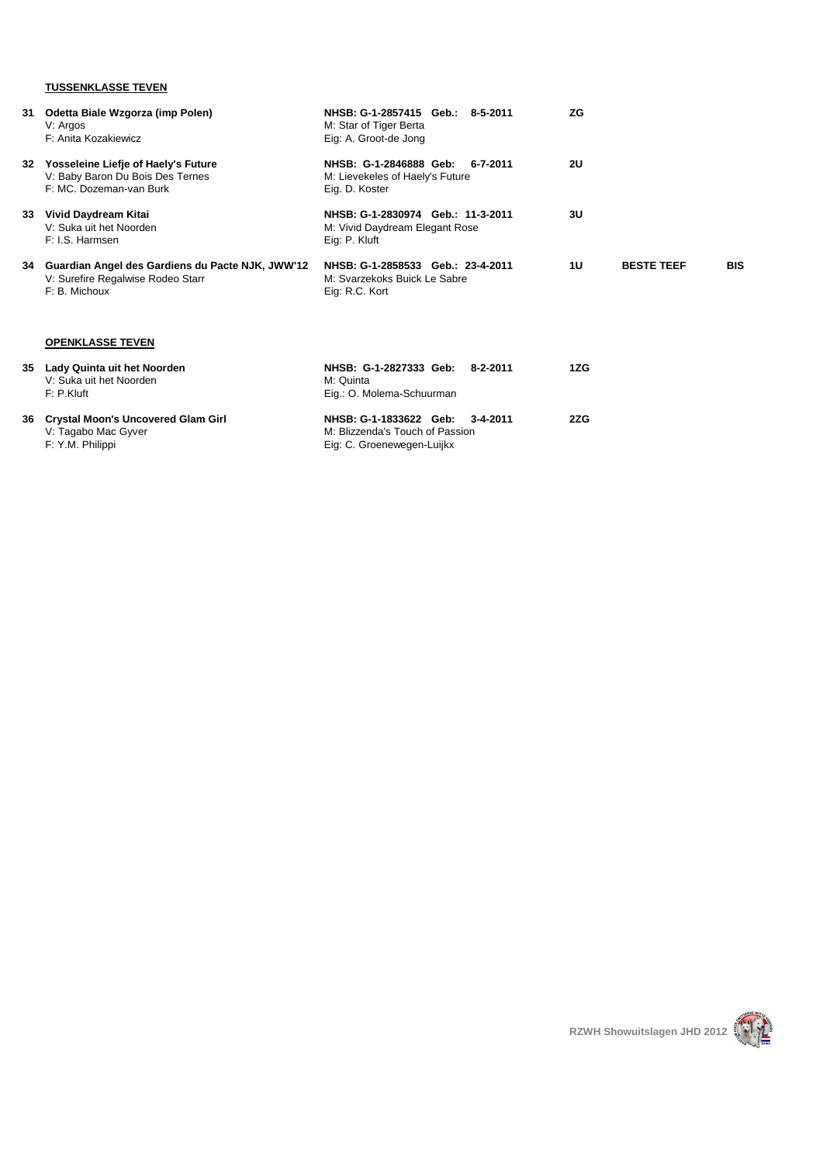## **TUSSENKLASSE TEVEN**

| 31 | Odetta Biale Wzgorza (imp Polen)<br>V: Argos<br>F: Anita Kozakiewicz                                      | NHSB: G-1-2857415 Geb.: 8-5-2011<br>M: Star of Tiger Berta<br>Eig: A. Groot-de Jong                 | ZG        |                   |            |
|----|-----------------------------------------------------------------------------------------------------------|-----------------------------------------------------------------------------------------------------|-----------|-------------------|------------|
|    | 32 Yosseleine Liefje of Haely's Future<br>V: Baby Baron Du Bois Des Ternes<br>F: MC. Dozeman-van Burk     | NHSB: G-1-2846888 Geb:<br>6-7-2011<br>M: Lievekeles of Haely's Future<br>Eig. D. Koster             | <b>2U</b> |                   |            |
|    | 33 Vivid Daydream Kitai<br>V: Suka uit het Noorden<br>F: I.S. Harmsen                                     | NHSB: G-1-2830974 Geb. 11-3-2011<br>M: Vivid Daydream Elegant Rose<br>Eig: P. Kluft                 | 3U        |                   |            |
|    | 34 Guardian Angel des Gardiens du Pacte NJK, JWW'12<br>V: Surefire Regalwise Rodeo Starr<br>F: B. Michoux | NHSB: G-1-2858533 Geb. 23-4-2011<br>M: Svarzekoks Buick Le Sabre<br>Eig: R.C. Kort                  | 1U        | <b>BESTE TEEF</b> | <b>BIS</b> |
|    | <b>OPENKLASSE TEVEN</b>                                                                                   |                                                                                                     |           |                   |            |
|    | 35 Lady Quinta uit het Noorden<br>V: Suka uit het Noorden<br>F: P. Kluff                                  | NHSB: G-1-2827333 Geb:<br>8-2-2011<br>M: Quinta<br>Eig.: O. Molema-Schuurman                        | 1ZG       |                   |            |
|    | 36 Crystal Moon's Uncovered Glam Girl<br>V: Tagabo Mac Gyver<br>F: Y.M. Philippi                          | NHSB: G-1-1833622 Geb:<br>3-4-2011<br>M: Blizzenda's Touch of Passion<br>Eig: C. Groenewegen-Luijkx | 2ZG       |                   |            |